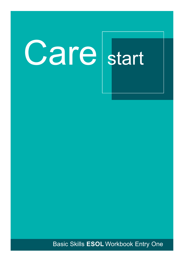# **Care** start

**Basic Skills ESOL Workbook Entry One**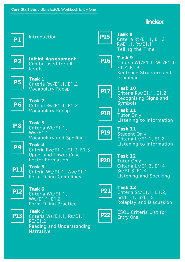#### **Index**





**Task 8** Criteria Rt/E1.1, E1.2 RwE1.1, Rt/E1.1 Telling the Time



**Task 9** Criteria Wt/E1.1, Ws/E1.1 E1.2, E1.3 Sentence Structure and Grammar

**P17**

**Task 10** Criteria Rw/E1.1, E1.2 Recognising Signs and Symbols



**Task 11** Tutor Only Listening to Information



**Task 11** Student Only Criteria Lr/E1.1, E1.2 Listening to Information



**Task 12** Tutor Only Criteria Lr/E1.3, E1.4 Sc/E1.3, E1.4 Listening and Speaking



**Task 13** Criteria Sc/E1.1, E1.2, Sd/E1.1, Lr/E1.5 Roleplay and Discussion



ESOL Criteria List for Entry One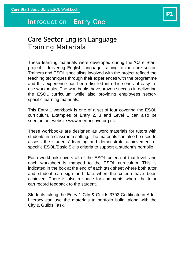#### Introduction - Entry One

#### Care Sector English Language Training Materials

These learning materials were developed during the 'Care Start' project - delivering English language training to the care sector. Trainers and ESOL specialists involved with the project refined the teaching techniques through their experiences with the programme and this experience has been distilled into this series of easy-touse workbooks. The workbooks have proven success in delivering the ESOL curriculum while also providing employees sectorspecific learning materials.

This Entry 1 workbook is one of a set of four covering the ESOL curriculum. Examples of Entry 2, 3 and Level 1 can also be seen on our website www.mertoncove.org.uk.

These workbooks are designed as work materials for tutors with students in a classroom setting. The materials can also be used to assess the students' learning and demonstrate achievement of specific ESOL/Basic Skills criteria to support a student's portfolio.

Each workbook covers all of the ESOL criteria at that level, and each worksheet is mapped to the ESOL curriculum. This is indicated in the box at the end of each task sheet where both tutor and student can sign and date when the criteria have been achieved. There is also a space for comments where the tutor can record feedback to the student.

Students taking the Entry 1 City & Guilds 3792 Certificate in Adult Literacy can use the materials to portfolio build, along with the City & Guilds Task.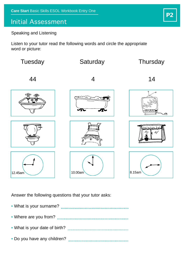#### Initial Assessment

Speaking and Listening

Listen to your tutor read the following words and circle the appropriate word or picture:



Answer the following questions that your tutor asks:

• What is your surname? • Where are you from? • What is your date of birth? • Do you have any children?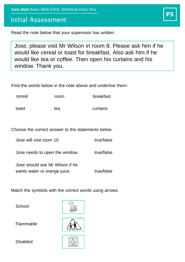**Care Start** Basic Skills ESOL Workbook Entry One

#### Initial Assessment

Read the note below that your supervisor has written:

Jose, please visit Mr Wilson in room 8. Please ask him if he would like cereal or toast for breakfast. Also ask him if he would like tea or coffee. Then open his curtains and his window. Thank you.

Find the words below in the note above and underline them:

| cereal | room | breakfast |
|--------|------|-----------|
|        |      |           |

toast tea curtains

Choose the correct answer to the statements below:

Jose will visit room 10. true/false

Jose needs to open the window. true/false

Jose should ask Mr Wilson if he wants water or orange juice. true/false

Match the symbols with the correct words using arrows.

**School** 



Flammable

Disabled



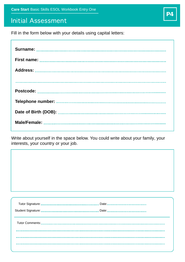#### Initial Assessment

Fill in the form below with your details using capital letters:

Write about yourself in the space below. You could write about your family, your interests, your country or your job.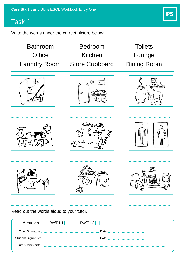Write the words under the correct picture below:



**P5**

Read out the words aloud to your tutor.

. . . . . . . . . .

| Achieved Rw/E1.1 | Rw/E1.2 |
|------------------|---------|
|                  |         |
|                  |         |
|                  |         |
|                  |         |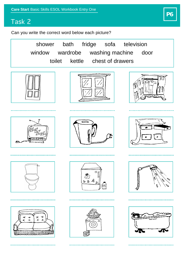

Can you write the correct word below each picture?

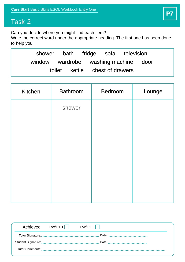Can you decide where you might find each item?

Write the correct word under the appropriate heading. The first one has been done to help you.

|                                      | shower bath fridge sofa television |  |  |
|--------------------------------------|------------------------------------|--|--|
| window wardrobe washing machine door |                                    |  |  |
|                                      | toilet kettle chest of drawers     |  |  |

| Kitchen | <b>Bathroom</b> | Bedroom | Lounge |
|---------|-----------------|---------|--------|
|         | shower          |         |        |
|         |                 |         |        |
|         |                 |         |        |
|         |                 |         |        |
|         |                 |         |        |
|         |                 |         |        |
|         |                 |         |        |

| Achieved Rw/E1.1   Rw/E1.2 |  |
|----------------------------|--|
|                            |  |
|                            |  |
|                            |  |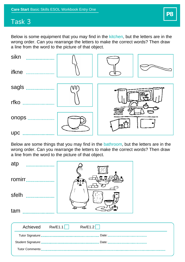Below is some equipment that you may find in the kitchen, but the letters are in the wrong order. Can you rearrange the letters to make the correct words? Then draw a line from the word to the picture of that object.

| sikn<br>.  |  |  |
|------------|--|--|
| ifkne<br>. |  |  |
| sagls<br>. |  |  |
| rfko<br>.  |  |  |
|            |  |  |
| onops<br>. |  |  |
| upc        |  |  |

Below are some things that you may find in the bathroom, but the letters are in the wrong order. Can you rearrange the letters to make the correct words? Then draw a line from the word to the picture of that object.

| atp<br>.           |                    |  |
|--------------------|--------------------|--|
| romirr<br>.        | - 11               |  |
| sfelh<br>.         |                    |  |
| tam                |                    |  |
|                    |                    |  |
| Achieved           | Rw/E1.1<br>RW/E1.2 |  |
| Tutor Signature:.  | Date:<br>          |  |
| Student Signature: | Date:<br>          |  |

Tutor Comments: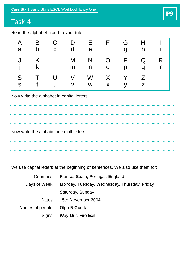Read the alphabet aloud to your tutor:

| a      | $\mathsf b$ | $\mathbf C$ | A B C D E F G<br>d e   |                |        | f ghi            | $H \cup I$ |
|--------|-------------|-------------|------------------------|----------------|--------|------------------|------------|
|        |             |             | J K L M N<br>jk Imno   | $\overline{O}$ | P<br>p | $\mathsf Q$<br>q | R          |
| S<br>S |             |             | TUVWXYZ<br>tuv w x y z |                |        |                  |            |

Now write the alphabet in capital letters:

Now write the alphabet in small letters:

. . . . . . . . . . . . . . .

We use capital letters at the beginning of sentences. We also use them for:

| Countries       | France, Spain, Portugal, England              |  |  |  |  |
|-----------------|-----------------------------------------------|--|--|--|--|
| Days of Week    | Monday, Tuesday, Wednesday, Thursday, Friday, |  |  |  |  |
|                 | Saturday, Sunday                              |  |  |  |  |
| Dates           | 15th November 2004                            |  |  |  |  |
| Names of people | Olga N'Guetta                                 |  |  |  |  |
| <b>Signs</b>    | Way Out, Fire Exit                            |  |  |  |  |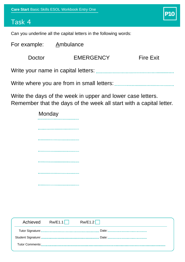**Monday** 

# **P10**

#### Task 4

Can you underline all the capital letters in the following words:

. . . . . . . . . . . . . . .

| For example: Ambulance |                  |                  |  |  |  |
|------------------------|------------------|------------------|--|--|--|
| Doctor                 | <b>EMERGENCY</b> | <b>Fire Exit</b> |  |  |  |
|                        |                  |                  |  |  |  |

Write where you are from in small letters:

Write the days of the week in upper and lower case letters. Remember that the days of the week all start with a capital letter.

| Rw/E1.2<br>Achieved<br>RW/E1.1 |
|--------------------------------|
|                                |
|                                |
|                                |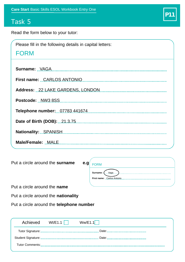Read the form below to your tutor:

| Please fill in the following details in capital letters: |
|----------------------------------------------------------|
| <b>FORM</b>                                              |
|                                                          |
|                                                          |
|                                                          |
|                                                          |
|                                                          |
|                                                          |
|                                                          |
| Nationality:  SPANISH.                                   |
| Male/Female: .MALE.                                      |

Put a circle around the **surname** 

| e.g. | <b>FORM</b>                |  |
|------|----------------------------|--|
|      | Surname:<br>Vaga           |  |
|      | First name: Carlos Antonio |  |
|      |                            |  |

**P11**

Put a circle around the **name**

Put a circle around the **nationality**

Put a circle around the **telephone number**

| Achieved | Wt/E1.1 $\vert$ $\vert$ | Ww/E1.1 |
|----------|-------------------------|---------|
|          |                         |         |
|          |                         |         |
|          |                         |         |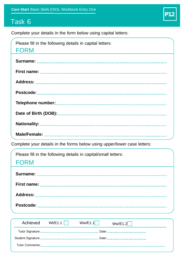Complete your details in the form below using capital letters:

| Please fill in the following details in capital letters:<br>FORM         |  |
|--------------------------------------------------------------------------|--|
|                                                                          |  |
|                                                                          |  |
|                                                                          |  |
|                                                                          |  |
|                                                                          |  |
|                                                                          |  |
| Nationality:                                                             |  |
|                                                                          |  |
| Complete your details in the forms below using upper/lower case letters: |  |
| Please fill in the following details in capital/small letters:           |  |
| <b>FORM</b>                                                              |  |
|                                                                          |  |

**P12**

| Achieved Wt/E1.1 | Ww/E1.1 | Ww/E1.2 |
|------------------|---------|---------|
|                  |         |         |
|                  |         |         |
|                  |         |         |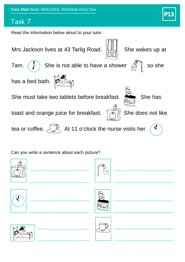Read the information below aloud to your tutor:

Mrs Jackson lives at 43 Tarlig Road.  $\Vert \Box \Vert$  She wakes up at



7am.  $\left(\begin{array}{c} \downarrow \end{array}\right)$  She is not able to have a shower  $\mathcal{M}$  so she

has a bed bath.



She must take two tablets before breakfast. She has

toast and orange juice for breakfast.  $\sqrt{2\pi}$  She does not like



 $\mathcal{A}$ 

tea or coffee.  $\overline{\mathbb{R}}$  At 11 o'clock the nurse visits her.

Can you write a sentence about each picture?

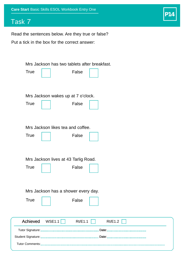## **P14**

### Task 7

Read the sentences below. Are they true or false?

Put a tick in the box for the correct answer:

| Mrs Jackson has two tablets after breakfast.            |
|---------------------------------------------------------|
| <b>True</b><br>False                                    |
| Mrs Jackson wakes up at 7 o'clock.                      |
| <b>True</b><br>False                                    |
| Mrs Jackson likes tea and coffee.                       |
| <b>True</b><br>False                                    |
| Mrs Jackson lives at 43 Tarlig Road.                    |
| <b>True</b><br>False                                    |
| Mrs Jackson has a shower every day.                     |
| <b>True</b><br>False                                    |
|                                                         |
| Achieved<br>WSE1.1 $\vert$<br>Rt/E1.1<br><b>Rt/E1.2</b> |
|                                                         |
|                                                         |
|                                                         |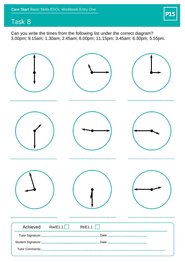

Can you write the times from the following list under the correct diagram? 3.00pm; 9.15am; 1.30am; 2.45am; 6.00pm; 11.15pm; 3.45am; 6.30pm; 5.55pm.

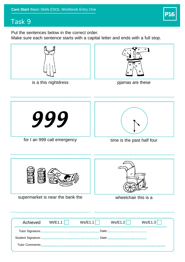

Put the sentences below in the correct order.

Make sure each sentence starts with a capital letter and ends with a full stop.







pjamas are these



for I an 999 call emergency



time is the past half four



| Achieved | Wt/E1.1 | Ws/E1.1 | Ws/E1.2 | Ws/E1.3 |
|----------|---------|---------|---------|---------|
|          |         |         |         |         |
|          |         |         |         |         |
|          |         |         |         |         |
|          |         |         |         |         |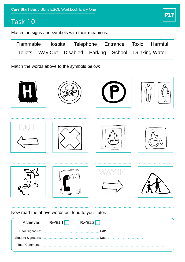Match the signs and symbols with their meanings:



**P17**

Match the words above to the symbols below:



Tutor Comments: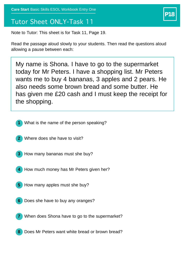#### Tutor Sheet ONLY-Task 11

Note to Tutor: This sheet is for Task 11, Page 19.

Read the passage aloud slowly to your students. Then read the questions aloud allowing a pause between each:

My name is Shona. I have to go to the supermarket today for Mr Peters. I have a shopping list. Mr Peters wants me to buy 4 bananas, 3 apples and 2 pears. He also needs some brown bread and some butter. He has given me £20 cash and I must keep the receipt for the shopping.

- **1** What is the name of the person speaking?
- **2** Where does she have to visit?
- **3** How many bananas must she buy?
- **4** How much money has Mr Peters given her?
- **5** How many apples must she buy?
- **6** Does she have to buy any oranges?
- **7** When does Shona have to go to the supermarket?
- **8** Does Mr Peters want white bread or brown bread?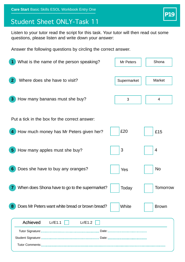## Student Sheet ONLY-Task 11

Listen to your tutor read the script for this task. Your tutor will then read out some questions, please listen and write down your answer:

Answer the following questions by circling the correct answer.

| Shona<br>Mr Peters           |
|------------------------------|
| <b>Market</b><br>Supermarket |
| 4                            |
| £15                          |
| 4                            |
| <b>No</b>                    |
| <b>Tomorrow</b>              |
| <b>Brown</b>                 |
|                              |
|                              |
|                              |
|                              |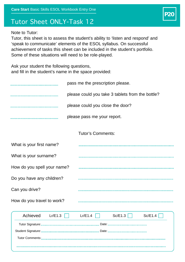### Tutor Sheet ONLY-Task 12

#### Note to Tutor:

Tutor, this sheet is to assess the student's ability to 'listen and respond' and 'speak to communicate' elements of the ESOL syllabus. On successful achievement of tasks this sheet can be included in the student's portfolio. Some of these situations will need to be role-played.

Ask your student the following questions, and fill in the student's name in the space provided:

|                             | pass me the prescription please.                 |
|-----------------------------|--------------------------------------------------|
|                             | please could you take 3 tablets from the bottle? |
|                             | please could you close the door?                 |
|                             | please pass me your report.                      |
|                             | <b>Tutor's Comments:</b>                         |
| What is your first name?    |                                                  |
| What is your surname?       |                                                  |
| How do you spell your name? |                                                  |
| Do you have any children?   |                                                  |
| Can you drive?              |                                                  |
| How do you travel to work?  |                                                  |
| Achieved<br>Lr/E1.3         | Sc/E1.3<br>Lr/E1.4<br>Sc/E1.4                    |
|                             |                                                  |
|                             |                                                  |
|                             |                                                  |

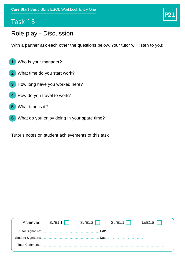# **P21**

#### Role play - Discussion

With a partner ask each other the questions below. Your tutor will listen to you:

- **1** Who is your manager?
- **2** What time do you start work?
- **3** How long have you worked here?
- **4** How do you travel to work?
- **5** What time is it?
- **6** What do you enjoy doing in your spare time?

Tutor's notes on student achievements of this task

| Achieved | Sc/E1.1 | Sc/E1.2<br>$\mathbf{1}$ | Sd/E1.1 | Lr/E1.5 |  |  |
|----------|---------|-------------------------|---------|---------|--|--|
| Date:    |         |                         |         |         |  |  |
|          |         |                         |         |         |  |  |
|          |         |                         |         |         |  |  |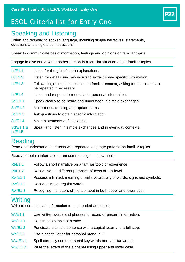## ESOL Criteria list for Entry One

#### Speaking and Listening

Listen and respond to spoken language, including simple narratives, statements, questions and single step instructions.

**P22**

Speak to communicate basic information, feelings and opinions on familiar topics.

Engage in discussion with another person in a familiar situation about familiar topics.

- Lr/E1.1 Listen for the gist of short explanations.
- Lr/E1.2 Listen for detail using key words to extract some specific information.
- Lr/E1.3 Follow single step instructions in a familiar context, asking for instructions to be repeated if necessary.
- Lr/E1.4 Listen and respond to requests for personal information.
- Sc/E1.1 Speak clearly to be heard and understood in simple exchanges.
- Sc/E1.2 Make requests using appropriate terms.
- Sc/E1.3 Ask questions to obtain specific information.
- Sc/E1.4 Make statements of fact clearly.
- Sd/E1.1 & Speak and listen in simple exchanges and in everyday contexts.

#### Reading

Lr/E1.5

Read and understand short texts with repeated language patterns on familiar topics.

Read and obtain information from common signs and symbols.

- Rt/E1.1 Follow a short narrative on a familiar topic or experience.
- Rt/E1.2 Recognise the different purposes of texts at this level.
- Rw/E1.1 Possess a limited, meaningful sight vocabulary of words, signs and symbols.
- Rw/E1.2 Decode simple, regular words.
- Rw/E1.3 Recognise the letters of the alphabet in both upper and lower case.

#### **Writing**

Write to communicate information to an intended audience.

- Wt/E1.1 Use written words and phrases to record or present information.
- Ws/E1.1 Construct a simple sentence.
- Ws/E1.2 Punctuate a simple sentence with a capital letter and a full stop.
- Ws/E1.3 Use a capital letter for personal pronoun 'I'
- Ww/E1.1 Spell correctly some personal key words and familiar words.
- Ww/E1.2 Write the letters of the alphabet using upper and lower case.